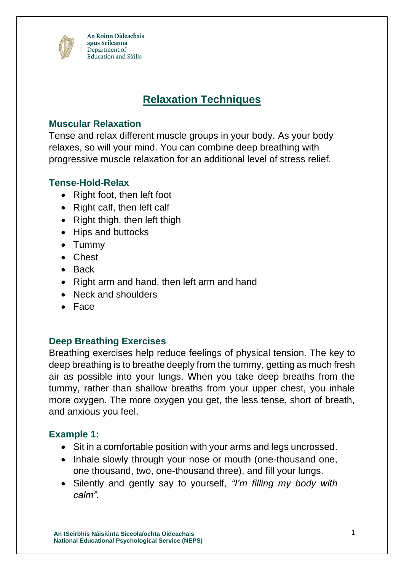

# **Relaxation Techniques**

## **Muscular Relaxation**

Tense and relax different muscle groups in your body. As your body relaxes, so will your mind. You can combine deep breathing with progressive muscle relaxation for an additional level of stress relief.

#### **Tense-Hold-Relax**

- Right foot, then left foot
- Right calf, then left calf
- Right thigh, then left thigh
- Hips and buttocks
- Tummy
- Chest
- Back
- Right arm and hand, then left arm and hand
- Neck and shoulders
- Face

## **Deep Breathing Exercises**

Breathing exercises help reduce feelings of physical tension. The key to deep breathing is to breathe deeply from the tummy, getting as much fresh air as possible into your lungs. When you take deep breaths from the tummy, rather than shallow breaths from your upper chest, you inhale more oxygen. The more oxygen you get, the less tense, short of breath, and anxious you feel.

## **Example 1:**

- Sit in a comfortable position with your arms and legs uncrossed.
- Inhale slowly through your nose or mouth (one-thousand one, one thousand, two, one-thousand three), and fill your lungs.
- Silently and gently say to yourself, *"I'm filling my body with calm".*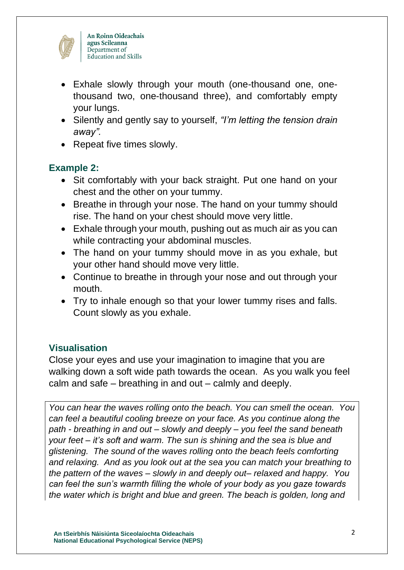

- Exhale slowly through your mouth (one-thousand one, onethousand two, one-thousand three), and comfortably empty your lungs.
- Silently and gently say to yourself, *"I'm letting the tension drain away".*
- Repeat five times slowly.

## **Example 2:**

- Sit comfortably with your back straight. Put one hand on your chest and the other on your tummy.
- Breathe in through your nose. The hand on your tummy should rise. The hand on your chest should move very little.
- Exhale through your mouth, pushing out as much air as you can while contracting your abdominal muscles.
- The hand on your tummy should move in as you exhale, but your other hand should move very little.
- Continue to breathe in through your nose and out through your mouth.
- Try to inhale enough so that your lower tummy rises and falls. Count slowly as you exhale.

## **Visualisation**

Close your eyes and use your imagination to imagine that you are walking down a soft wide path towards the ocean. As you walk you feel calm and safe – breathing in and out – calmly and deeply.

*You can hear the waves rolling onto the beach. You can smell the ocean. You can feel a beautiful cooling breeze on your face. As you continue along the path - breathing in and out – slowly and deeply – you feel the sand beneath your feet – it's soft and warm. The sun is shining and the sea is blue and glistening. The sound of the waves rolling onto the beach feels comforting and relaxing. And as you look out at the sea you can match your breathing to the pattern of the waves – slowly in and deeply out– relaxed and happy. You can feel the sun's warmth filling the whole of your body as you gaze towards the water which is bright and blue and green. The beach is golden, long and*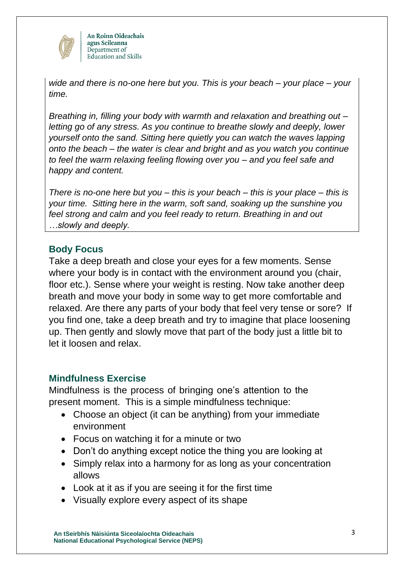

*wide and there is no-one here but you. This is your beach – your place – your time.*

*Breathing in, filling your body with warmth and relaxation and breathing out – letting go of any stress. As you continue to breathe slowly and deeply, lower yourself onto the sand. Sitting here quietly you can watch the waves lapping onto the beach – the water is clear and bright and as you watch you continue to feel the warm relaxing feeling flowing over you – and you feel safe and happy and content.* 

*There is no-one here but you – this is your beach – this is your place – this is your time. Sitting here in the warm, soft sand, soaking up the sunshine you feel strong and calm and you feel ready to return. Breathing in and out …slowly and deeply.* 

#### **Body Focus**

Take a deep breath and close your eyes for a few moments. Sense where your body is in contact with the environment around you (chair, floor etc.). Sense where your weight is resting. Now take another deep breath and move your body in some way to get more comfortable and relaxed. Are there any parts of your body that feel very tense or sore? If you find one, take a deep breath and try to imagine that place loosening up. Then gently and slowly move that part of the body just a little bit to let it loosen and relax.

#### **Mindfulness Exercise**

Mindfulness is the process of bringing one's attention to the present moment. This is a simple mindfulness technique:

- Choose an object (it can be anything) from your immediate environment
- Focus on watching it for a minute or two
- Don't do anything except notice the thing you are looking at
- Simply relax into a harmony for as long as your concentration allows
- Look at it as if you are seeing it for the first time
- Visually explore every aspect of its shape